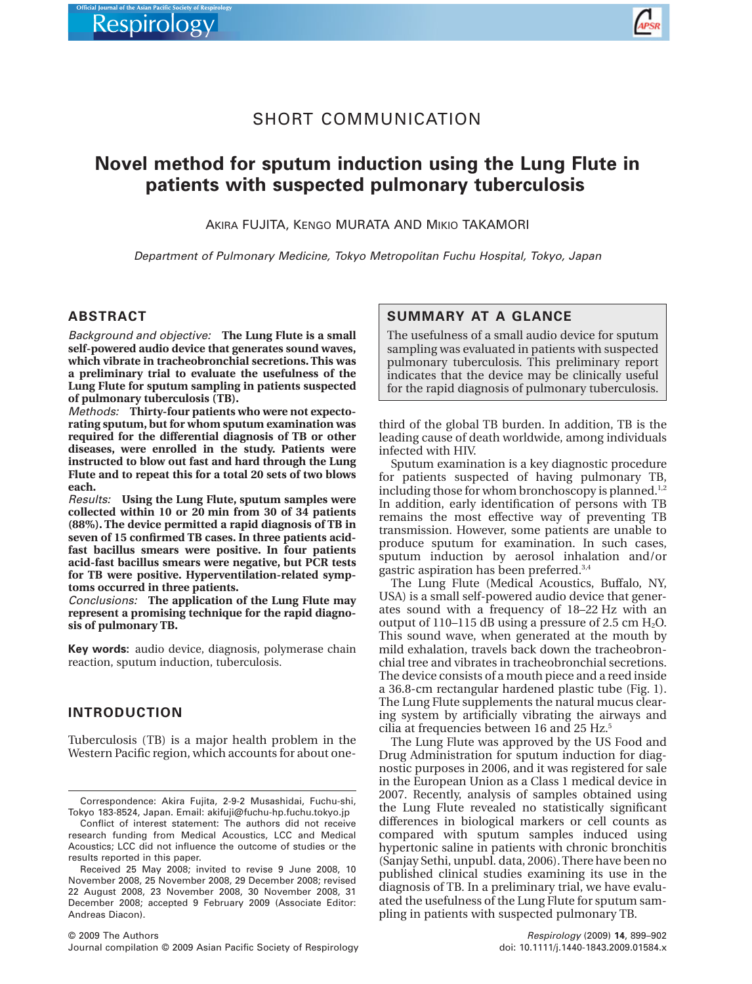

# SHORT COMMUNICATION

# **Novel method for sputum induction using the Lung Flute in** patients with suspected pulmonary tuberculosis

AKIRA FUJITA, KENGO MURATA AND MIKIO TAKAMORI

*Department of Pulmonary Medicine, Tokyo Metropolitan Fuchu Hospital, Tokyo, Japan*

#### **ABSTRACT**

*Background and objective:* **The Lung Flute is a small self-powered audio device that generates sound waves, which vibrate in tracheobronchial secretions. This was a preliminary trial to evaluate the usefulness of the Lung Flute for sputum sampling in patients suspected of pulmonary tuberculosis (TB).**

*Methods:* **Thirty-four patients who were not expectorating sputum, but for whom sputum examination was required for the differential diagnosis of TB or other diseases, were enrolled in the study. Patients were instructed to blow out fast and hard through the Lung Flute and to repeat this for a total 20 sets of two blows each.**

*Results:* **Using the Lung Flute, sputum samples were collected within 10 or 20 min from 30 of 34 patients (88%). The device permitted a rapid diagnosis of TB in seven of 15 confirmed TB cases. In three patients acidfast bacillus smears were positive. In four patients acid-fast bacillus smears were negative, but PCR tests for TB were positive. Hyperventilation-related symptoms occurred in three patients.**

*Conclusions:* **The application of the Lung Flute may represent a promising technique for the rapid diagnosis of pulmonary TB.**

**Key words:** audio device, diagnosis, polymerase chain reaction, sputum induction, tuberculosis.

#### **INTRODUCTION**

Tuberculosis (TB) is a major health problem in the Western Pacific region, which accounts for about one-

Conflict of interest statement: The authors did not receive research funding from Medical Acoustics, LCC and Medical Acoustics; LCC did not influence the outcome of studies or the results reported in this paper.

#### **SUMMARY AT A GLANCE**

The usefulness of a small audio device for sputum sampling was evaluated in patients with suspected pulmonary tuberculosis. This preliminary report indicates that the device may be clinically useful for the rapid diagnosis of pulmonary tuberculosis.

third of the global TB burden. In addition, TB is the leading cause of death worldwide, among individuals infected with HIV.

Sputum examination is a key diagnostic procedure for patients suspected of having pulmonary TB, including those for whom bronchoscopy is planned.<sup>1,2</sup> In addition, early identification of persons with TB remains the most effective way of preventing TB transmission. However, some patients are unable to produce sputum for examination. In such cases, sputum induction by aerosol inhalation and/or gastric aspiration has been preferred.3,4

The Lung Flute (Medical Acoustics, Buffalo, NY, USA) is a small self-powered audio device that generates sound with a frequency of 18–22 Hz with an output of  $110-115$  dB using a pressure of 2.5 cm  $H_2O$ . This sound wave, when generated at the mouth by mild exhalation, travels back down the tracheobronchial tree and vibrates in tracheobronchial secretions. The device consists of a mouth piece and a reed inside a 36.8-cm rectangular hardened plastic tube (Fig. 1). The Lung Flute supplements the natural mucus clearing system by artificially vibrating the airways and cilia at frequencies between 16 and 25 Hz.<sup>5</sup>

The Lung Flute was approved by the US Food and Drug Administration for sputum induction for diagnostic purposes in 2006, and it was registered for sale in the European Union as a Class 1 medical device in 2007. Recently, analysis of samples obtained using the Lung Flute revealed no statistically significant differences in biological markers or cell counts as compared with sputum samples induced using hypertonic saline in patients with chronic bronchitis (Sanjay Sethi, unpubl. data, 2006). There have been no published clinical studies examining its use in the diagnosis of TB. In a preliminary trial, we have evaluated the usefulness of the Lung Flute for sputum sampling in patients with suspected pulmonary TB.

Correspondence: Akira Fujita, 2-9-2 Musashidai, Fuchu-shi, Tokyo 183-8524, Japan. Email: [akifuji@fuchu-hp.fuchu.tokyo.jp](mailto:akifuji@fuchu-hp.fuchu.tokyo.jp)

Received 25 May 2008; invited to revise 9 June 2008, 10 November 2008, 25 November 2008, 29 December 2008; revised 22 August 2008, 23 November 2008, 30 November 2008, 31 December 2008; accepted 9 February 2009 (Associate Editor: Andreas Diacon).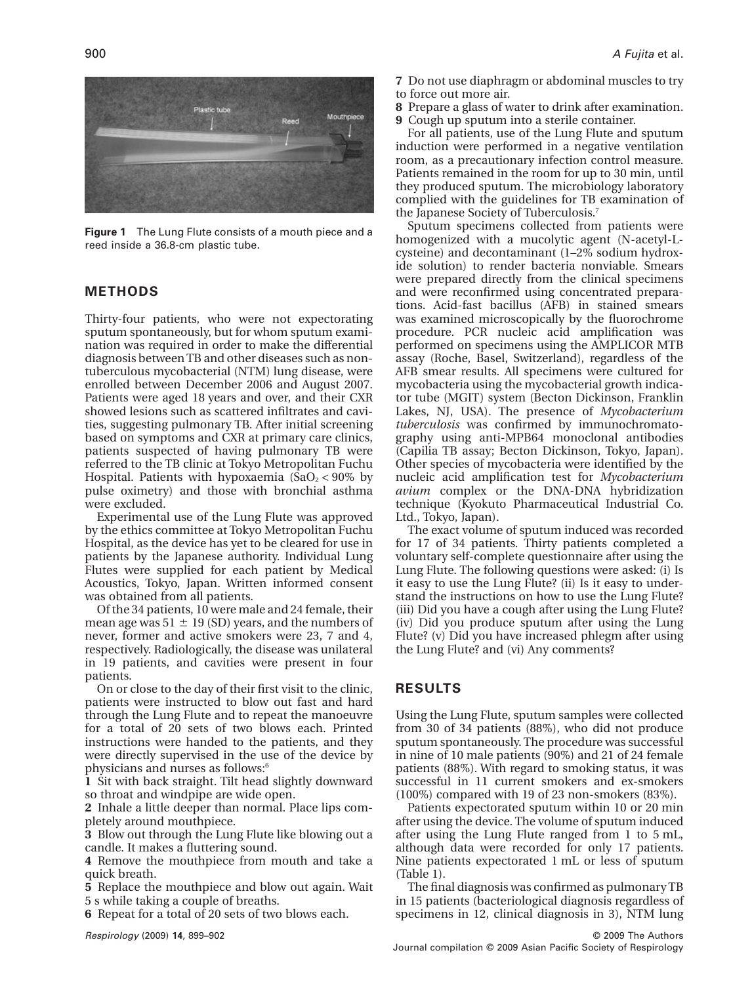

**Figure 1** The Lung Flute consists of a mouth piece and a reed inside a 36.8-cm plastic tube.

#### **METHODS**

Thirty-four patients, who were not expectorating sputum spontaneously, but for whom sputum examination was required in order to make the differential diagnosis between TB and other diseases such as nontuberculous mycobacterial (NTM) lung disease, were enrolled between December 2006 and August 2007. Patients were aged 18 years and over, and their CXR showed lesions such as scattered infiltrates and cavities, suggesting pulmonary TB. After initial screening based on symptoms and CXR at primary care clinics, patients suspected of having pulmonary TB were referred to the TB clinic at Tokyo Metropolitan Fuchu Hospital. Patients with hypoxaemia  $(SaO<sub>2</sub> < 90\%$  by pulse oximetry) and those with bronchial asthma were excluded.

Experimental use of the Lung Flute was approved by the ethics committee at Tokyo Metropolitan Fuchu Hospital, as the device has yet to be cleared for use in patients by the Japanese authority. Individual Lung Flutes were supplied for each patient by Medical Acoustics, Tokyo, Japan. Written informed consent was obtained from all patients.

Of the 34 patients, 10 were male and 24 female, their mean age was 51  $\pm$  19 (SD) years, and the numbers of never, former and active smokers were 23, 7 and 4, respectively. Radiologically, the disease was unilateral in 19 patients, and cavities were present in four patients.

On or close to the day of their first visit to the clinic, patients were instructed to blow out fast and hard through the Lung Flute and to repeat the manoeuvre for a total of 20 sets of two blows each. Printed instructions were handed to the patients, and they were directly supervised in the use of the device by physicians and nurses as follows:<sup>6</sup>

**1** Sit with back straight. Tilt head slightly downward so throat and windpipe are wide open.

**2** Inhale a little deeper than normal. Place lips completely around mouthpiece.

**3** Blow out through the Lung Flute like blowing out a candle. It makes a fluttering sound.

**4** Remove the mouthpiece from mouth and take a quick breath.

**5** Replace the mouthpiece and blow out again. Wait 5 s while taking a couple of breaths.

**6** Repeat for a total of 20 sets of two blows each.

- **7** Do not use diaphragm or abdominal muscles to try to force out more air.
- **8** Prepare a glass of water to drink after examination.
- **9** Cough up sputum into a sterile container.

For all patients, use of the Lung Flute and sputum induction were performed in a negative ventilation room, as a precautionary infection control measure. Patients remained in the room for up to 30 min, until they produced sputum. The microbiology laboratory complied with the guidelines for TB examination of the Japanese Society of Tuberculosis.7

Sputum specimens collected from patients were homogenized with a mucolytic agent (N-acetyl-Lcysteine) and decontaminant (1–2% sodium hydroxide solution) to render bacteria nonviable. Smears were prepared directly from the clinical specimens and were reconfirmed using concentrated preparations. Acid-fast bacillus (AFB) in stained smears was examined microscopically by the fluorochrome procedure. PCR nucleic acid amplification was performed on specimens using the AMPLICOR MTB assay (Roche, Basel, Switzerland), regardless of the AFB smear results. All specimens were cultured for mycobacteria using the mycobacterial growth indicator tube (MGIT) system (Becton Dickinson, Franklin Lakes, NJ, USA). The presence of *Mycobacterium tuberculosis* was confirmed by immunochromatography using anti-MPB64 monoclonal antibodies (Capilia TB assay; Becton Dickinson, Tokyo, Japan). Other species of mycobacteria were identified by the nucleic acid amplification test for *Mycobacterium avium* complex or the DNA-DNA hybridization technique (Kyokuto Pharmaceutical Industrial Co. Ltd., Tokyo, Japan).

The exact volume of sputum induced was recorded for 17 of 34 patients. Thirty patients completed a voluntary self-complete questionnaire after using the Lung Flute. The following questions were asked: (i) Is it easy to use the Lung Flute? (ii) Is it easy to understand the instructions on how to use the Lung Flute? (iii) Did you have a cough after using the Lung Flute? (iv) Did you produce sputum after using the Lung Flute? (v) Did you have increased phlegm after using the Lung Flute? and (vi) Any comments?

## **RESULTS**

Using the Lung Flute, sputum samples were collected from 30 of 34 patients (88%), who did not produce sputum spontaneously. The procedure was successful in nine of 10 male patients (90%) and 21 of 24 female patients (88%). With regard to smoking status, it was successful in 11 current smokers and ex-smokers (100%) compared with 19 of 23 non-smokers (83%).

Patients expectorated sputum within 10 or 20 min after using the device. The volume of sputum induced after using the Lung Flute ranged from 1 to 5 mL, although data were recorded for only 17 patients. Nine patients expectorated 1 mL or less of sputum (Table 1).

The final diagnosis was confirmed as pulmonary TB in 15 patients (bacteriological diagnosis regardless of specimens in 12, clinical diagnosis in 3), NTM lung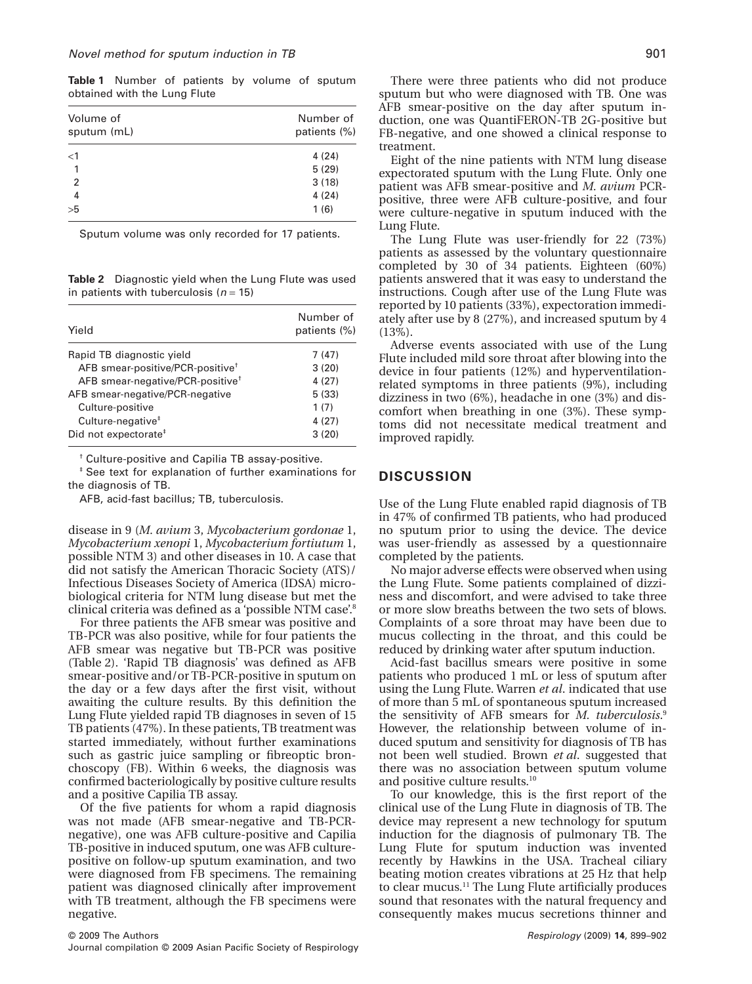**Table 1** Number of patients by volume of sputum obtained with the Lung Flute

| Volume of<br>sputum (mL) | Number of<br>patients (%) |
|--------------------------|---------------------------|
| $\leq$ 1                 | 4(24)                     |
| 1                        | 5(29)                     |
| $\overline{2}$           | 3(18)                     |
| 4                        | 4(24)                     |
| >5                       | 1(6)                      |

Sputum volume was only recorded for 17 patients.

**Table 2** Diagnostic yield when the Lung Flute was used in patients with tuberculosis (*n* = 15)

| Yield                                        | Number of<br>patients (%) |
|----------------------------------------------|---------------------------|
| Rapid TB diagnostic yield                    | 7(47)                     |
| AFB smear-positive/PCR-positive <sup>+</sup> | 3(20)                     |
| AFB smear-negative/PCR-positive <sup>†</sup> | 4(27)                     |
| AFB smear-negative/PCR-negative              | 5(33)                     |
| Culture-positive                             | 1(7)                      |
| Culture-negative <sup>#</sup>                | 4(27)                     |
| Did not expectorate <sup>#</sup>             | 3(20)                     |

† Culture-positive and Capilia TB assay-positive.

‡ See text for explanation of further examinations for the diagnosis of TB.

AFB, acid-fast bacillus; TB, tuberculosis.

disease in 9 (*M. avium* 3, *Mycobacterium gordonae* 1, *Mycobacterium xenopi* 1, *Mycobacterium fortiutum* 1, possible NTM 3) and other diseases in 10. A case that did not satisfy the American Thoracic Society (ATS)/ Infectious Diseases Society of America (IDSA) microbiological criteria for NTM lung disease but met the clinical criteria was defined as a 'possible NTM case'.8

For three patients the AFB smear was positive and TB-PCR was also positive, while for four patients the AFB smear was negative but TB-PCR was positive (Table 2). 'Rapid TB diagnosis' was defined as AFB smear-positive and/or TB-PCR-positive in sputum on the day or a few days after the first visit, without awaiting the culture results. By this definition the Lung Flute yielded rapid TB diagnoses in seven of 15 TB patients (47%). In these patients, TB treatment was started immediately, without further examinations such as gastric juice sampling or fibreoptic bronchoscopy (FB). Within 6 weeks, the diagnosis was confirmed bacteriologically by positive culture results and a positive Capilia TB assay.

Of the five patients for whom a rapid diagnosis was not made (AFB smear-negative and TB-PCRnegative), one was AFB culture-positive and Capilia TB-positive in induced sputum, one was AFB culturepositive on follow-up sputum examination, and two were diagnosed from FB specimens. The remaining patient was diagnosed clinically after improvement with TB treatment, although the FB specimens were negative.

There were three patients who did not produce sputum but who were diagnosed with TB. One was AFB smear-positive on the day after sputum induction, one was QuantiFERON-TB 2G-positive but FB-negative, and one showed a clinical response to treatment.

Eight of the nine patients with NTM lung disease expectorated sputum with the Lung Flute. Only one patient was AFB smear-positive and *M. avium* PCRpositive, three were AFB culture-positive, and four were culture-negative in sputum induced with the Lung Flute.

The Lung Flute was user-friendly for 22 (73%) patients as assessed by the voluntary questionnaire completed by 30 of 34 patients. Eighteen (60%) patients answered that it was easy to understand the instructions. Cough after use of the Lung Flute was reported by 10 patients (33%), expectoration immediately after use by 8 (27%), and increased sputum by 4 (13%).

Adverse events associated with use of the Lung Flute included mild sore throat after blowing into the device in four patients (12%) and hyperventilationrelated symptoms in three patients (9%), including dizziness in two (6%), headache in one (3%) and discomfort when breathing in one (3%). These symptoms did not necessitate medical treatment and improved rapidly.

# **DISCUSSION**

Use of the Lung Flute enabled rapid diagnosis of TB in 47% of confirmed TB patients, who had produced no sputum prior to using the device. The device was user-friendly as assessed by a questionnaire completed by the patients.

No major adverse effects were observed when using the Lung Flute. Some patients complained of dizziness and discomfort, and were advised to take three or more slow breaths between the two sets of blows. Complaints of a sore throat may have been due to mucus collecting in the throat, and this could be reduced by drinking water after sputum induction.

Acid-fast bacillus smears were positive in some patients who produced 1 mL or less of sputum after using the Lung Flute. Warren *et al*. indicated that use of more than 5 mL of spontaneous sputum increased the sensitivity of AFB smears for *M. tuberculosis*. 9 However, the relationship between volume of induced sputum and sensitivity for diagnosis of TB has not been well studied. Brown *et al*. suggested that there was no association between sputum volume and positive culture results.10

To our knowledge, this is the first report of the clinical use of the Lung Flute in diagnosis of TB. The device may represent a new technology for sputum induction for the diagnosis of pulmonary TB. The Lung Flute for sputum induction was invented recently by Hawkins in the USA. Tracheal ciliary beating motion creates vibrations at 25 Hz that help to clear mucus.11 The Lung Flute artificially produces sound that resonates with the natural frequency and consequently makes mucus secretions thinner and